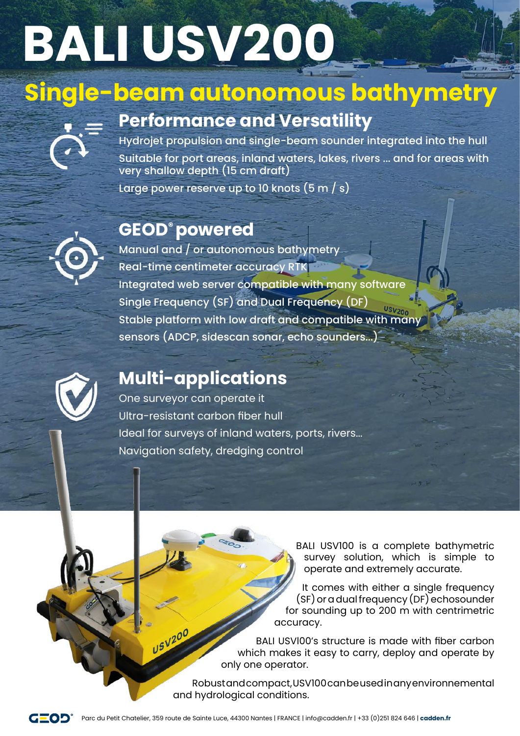# **BALI USV200**

## **Single-beam autonomous bathymetry**



## **Performance and Versatility**

Hydrojet propulsion and single-beam sounder integrated into the hull Suitable for port areas, inland waters, lakes, rivers ... and for areas with very shallow depth (15 cm draft)

Large power reserve up to 10 knots  $(5 m/s)$ 

### **GEOD® powered**



Manual and / or autonomous bathymetry Real-time centimeter accuracy RTK Integrated web server compatible with many software Single Frequency (SF) and Dual Frequency (DF) Stable platform with low draft and compatible with many sensors (ADCP, sidescan sonar, echo sounders...)



## **Multi-applications**

USV200

One surveyor can operate it Ultra-resistant carbon fiber hull Ideal for surveys of inland waters, ports, rivers... Navigation safety, dredging control

> BALI USV100 is a complete bathymetric survey solution, which is simple to operate and extremely accurate.

It comes with either a single frequency (SF) or a dual frequency (DF) echosounder for sounding up to 200 m with centrimetric accuracy.

BALI USVl00's structure is made with fiber carbon which makes it easy to carry, deploy and operate by only one operator.

Robust and compact, USV100 can be used in any environnemental and hydrological conditions.